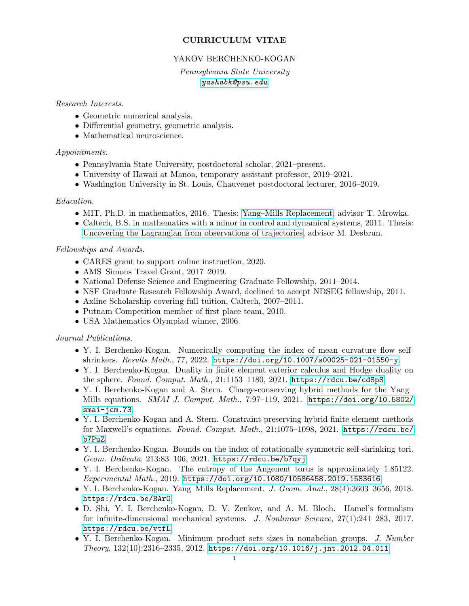# CURRICULUM VITAE

## YAKOV BERCHENKO-KOGAN

Pennsylvania State University [yashabk@psu.edu](mailto:yashabk@psu.edu)

#### Research Interests.

- Geometric numerical analysis.
- Differential geometry, geometric analysis.
- Mathematical neuroscience.

#### Appointments.

- Pennsylvania State University, postdoctoral scholar, 2021–present.
- University of Hawaii at Manoa, temporary assistant professor, 2019–2021.
- Washington University in St. Louis, Chauvenet postdoctoral lecturer, 2016–2019.

## Education.

- MIT, Ph.D. in mathematics, 2016. Thesis: [Yang–Mills Replacement,](https://dspace.mit.edu/handle/1721.1/104607) advisor T. Mrowka.
- Caltech, B.S. in mathematics with a minor in control and dynamical systems, 2011. Thesis: [Uncovering the Lagrangian from observations of trajectories,](https://thesis.library.caltech.edu/9224/) advisor M. Desbrun.

#### Fellowships and Awards.

- CARES grant to support online instruction, 2020.
- AMS–Simons Travel Grant, 2017–2019.
- National Defense Science and Engineering Graduate Fellowship, 2011–2014.
- NSF Graduate Research Fellowship Award, declined to accept NDSEG fellowship, 2011.
- Axline Scholarship covering full tuition, Caltech, 2007–2011.
- Putnam Competition member of first place team, 2010.
- USA Mathematics Olympiad winner, 2006.

#### Journal Publications.

- Y. I. Berchenko-Kogan. Numerically computing the index of mean curvature flow selfshrinkers. Results Math., 77, 2022. <https://doi.org/10.1007/s00025-021-01550-y>.
- Y. I. Berchenko-Kogan. Duality in finite element exterior calculus and Hodge duality on the sphere. Found. Comput. Math., 21:1153-1180, 2021. <https://rdcu.be/cdSpS>.
- Y. I. Berchenko-Kogan and A. Stern. Charge-conserving hybrid methods for the Yang– Mills equations. SMAI J. Comput. Math., 7:97–119, 2021. [https://doi.org/10.5802/](https://doi.org/10.5802/smai-jcm.73) [smai-jcm.73](https://doi.org/10.5802/smai-jcm.73).
- Y. I. Berchenko-Kogan and A. Stern. Constraint-preserving hybrid finite element methods for Maxwell's equations. Found. Comput. Math., 21:1075–1098, 2021. [https://rdcu.be/](https://rdcu.be/b7PuZ) [b7PuZ](https://rdcu.be/b7PuZ).
- Y. I. Berchenko-Kogan. Bounds on the index of rotationally symmetric self-shrinking tori. Geom. Dedicata, 213:83–106, 2021. <https://rdcu.be/b7qyj>.
- Y. I. Berchenko-Kogan. The entropy of the Angenent torus is approximately 1.85122. Experimental Math., 2019. <https://doi.org/10.1080/10586458.2019.1583616>.
- Y. I. Berchenko-Kogan. Yang–Mills Replacement. J. Geom. Anal., 28(4):3603–3656, 2018. <https://rdcu.be/BArO>.
- D. Shi, Y. I. Berchenko-Kogan, D. V. Zenkov, and A. M. Bloch. Hamel's formalism for infinite-dimensional mechanical systems. J. Nonlinear Science, 27(1):241–283, 2017. <https://rdcu.be/vtfL>.
- Y. I. Berchenko-Kogan. Minimum product sets sizes in nonabelian groups. J. Number  $Theory, 132(10):2316-2335, 2012. <https://doi.org/10.1016/j.jnt.2012.04.011>$  $Theory, 132(10):2316-2335, 2012. <https://doi.org/10.1016/j.jnt.2012.04.011>$  $Theory, 132(10):2316-2335, 2012. <https://doi.org/10.1016/j.jnt.2012.04.011>$